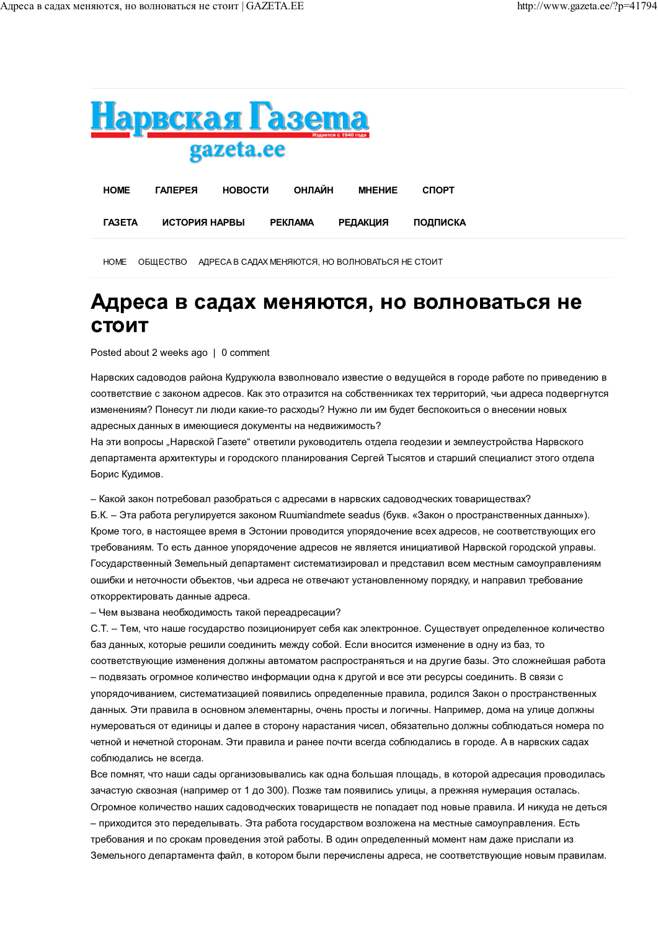*TA3ETA* 



**РЕДАКЦИЯ** 

**ПОДПИСКА** 

НОМЕ ОБЩЕСТВО АДРЕСА В САДАХ МЕНЯЮТСЯ, НО ВОЛНОВАТЬСЯ НЕ СТОИТ

**РЕКЛАМА** 

## Адреса в садах меняются, но волноваться не СТОИТ

Posted about 2 weeks ago | 0 comment

ИСТОРИЯ НАРВЫ

Нарвских садоводов района Кудрукюла взволновало известие о ведущейся в городе работе по приведению в соответствие с законом адресов. Как это отразится на собственниках тех территорий, чьи адреса подвергнутся изменениям? Понесут ли люди какие-то расходы? Нужно ли им будет беспокоиться о внесении новых адресных данных в имеющиеся документы на недвижимость?

На эти вопросы "Нарвской Газете" ответили руководитель отдела геодезии и землеустройства Нарвского департамента архитектуры и городского планирования Сергей Тысятов и старший специалист этого отдела Борис Кудимов.

- Какой закон потребовал разобраться с адресами в нарвских садоводческих товариществах?

Б.К. – Эта работа регулируется законом Ruumiandmete seadus (букв. «Закон о пространственных данных»). Кроме того, в настоящее время в Эстонии проводится упорядочение всех адресов, не соответствующих его требованиям. То есть данное упорядочение адресов не является инициативой Нарвской городской управы. Государственный Земельный департамент систематизировал и представил всем местным самоуправлениям ошибки и неточности объектов, чьи адреса не отвечают установленному порядку, и направил требование откорректировать данные адреса.

- Чем вызвана необходимость такой переадресации?

С.Т. - Тем, что наше государство позиционирует себя как электронное. Существует определенное количество баз данных, которые решили соединить между собой. Если вносится изменение в одну из баз, то соответствующие изменения должны автоматом распространяться и на другие базы. Это сложнейшая работа - подвязать огромное количество информации одна к другой и все эти ресурсы соединить. В связи с упорядочиванием, систематизацией появились определенные правила, родился Закон о пространственных данных. Эти правила в основном элементарны, очень просты и логичны. Например, дома на улице должны нумероваться от единицы и далее в сторону нарастания чисел, обязательно должны соблюдаться номера по четной и нечетной сторонам. Эти правила и ранее почти всегда соблюдались в городе. А в нарвских садах соблюдались не всегда.

Все помнят, что наши сады организовывались как одна большая площадь, в которой адресация проводилась зачастую сквозная (например от 1 до 300). Позже там появились улицы, а прежняя нумерация осталась. Огромное количество наших садоводческих товариществ не попадает под новые правила. И никуда не деться - приходится это переделывать. Эта работа государством возложена на местные самоуправления. Есть требования и по срокам проведения этой работы. В один определенный момент нам даже прислали из Земельного департамента файл, в котором были перечислены адреса, не соответствующие новым правилам,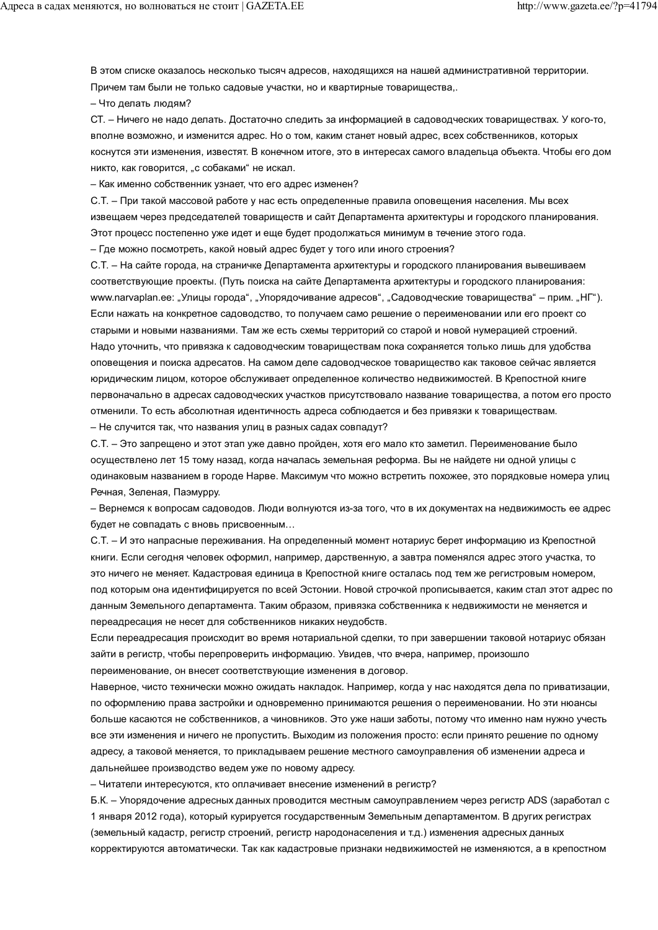В этом списке оказалось несколько тысяч адресов, находящихся на нашей административной территории. Причем там были не только садовые участки, но и квартирные товарищества,.

- Что делать людям?

СТ. - Ничего не надо делать. Достаточно следить за информацией в садоводческих товариществах. У кого-то, вполне возможно, и изменится адрес. Но о том, каким станет новый адрес, всех собственников, которых коснутся эти изменения, известят. В конечном итоге, это в интересах самого владельца объекта. Чтобы его дом никто, как говорится, "с собаками" не искал.

- Как именно собственник узнает, что его адрес изменен?

С.Т. - При такой массовой работе у нас есть определенные правила оповешения населения. Мы всех извещаем через председателей товариществ и сайт Департамента архитектуры и городского планирования. Этот процесс постепенно уже идет и еще будет продолжаться минимум в течение этого года.

– Где можно посмотреть, какой новый адрес будет у того или иного строения?

С.Т. - На сайте города, на страничке Департамента архитектуры и городского планирования вывешиваем соответствующие проекты. (Путь поиска на сайте Департамента архитектуры и городского планирования: www.narvaplan.ee: "Улицы города", "Упорядочивание адресов", "Садоводческие товарищества" – прим. "НГ"). Если нажать на конкретное садоводство, то получаем само решение о переименовании или его проект со старыми и новыми названиями. Там же есть схемы территорий со старой и новой нумерацией строений. Надо уточнить, что привязка к садоводческим товаришествам пока сохраняется только лишь для удобства оповещения и поиска адресатов. На самом деле садоводческое товарищество как таковое сейчас является юридическим лицом, которое обслуживает определенное количество недвижимостей. В Крепостной книге первоначально в адресах садоводческих участков присутствовало название товарищества, а потом его просто отменили. То есть абсолютная идентичность адреса соблюдается и без привязки к товариществам. - Не случится так, что названия улиц в разных садах совпадут?

С.Т. - Это запрещено и этот этап уже давно пройден, хотя его мало кто заметил. Переименование было осуществлено лет 15 тому назад, когда началась земельная реформа. Вы не найдете ни одной улицы с одинаковым названием в городе Нарве. Максимум что можно встретить похожее, это порядковые номера улиц Речная, Зеленая, Паэмурру.

– Вернемся к вопросам садоводов. Люди волнуются из-за того, что в их документах на недвижимость ее адрес будет не совпадать с вновь присвоенным...

С.Т. - И это напрасные переживания. На определенный момент нотариус берет информацию из Крепостной книги. Если сегодня человек оформил, например, дарственную, а завтра поменялся адрес этого участка, то это ничего не меняет. Кадастровая единица в Крепостной книге осталась под тем же регистровым номером, под которым она идентифицируется по всей Эстонии. Новой строчкой прописывается, каким стал этот адрес по данным Земельного департамента. Таким образом, привязка собственника к недвижимости не меняется и переадресация не несет для собственников никаких неудобств.

Если переадресация происходит во время нотариальной сделки, то при завершении таковой нотариус обязан зайти в регистр. чтобы перепроверить информацию. Увидев. что вчера, например, произошло переименование, он внесет соответствующие изменения в договор.

Наверное, чисто технически можно ожидать накладок. Например, когда у нас находятся дела по приватизации, по оформлению права застройки и одновременно принимаются решения о переименовании. Но эти нюансы больше касаются не собственников, а чиновников. Это уже наши заботы, потому что именно нам нужно учесть все эти изменения и ничего не пропустить. Выходим из положения просто: если принято решение по одному адресу, а таковой меняется, то прикладываем решение местного самоуправления об изменении адреса и дальнейшее производство ведем уже по новому адресу.

- Читатели интересуются, кто оплачивает внесение изменений в регистр?

Б.К. - Упорядочение адресных данных проводится местным самоуправлением через регистр ADS (заработал с 1 января 2012 года), который курируется государственным Земельным департаментом. В других регистрах (земельный кадастр, регистр строений, регистр народонаселения и т.д.) изменения адресных данных корректируются автоматически. Так как кадастровые признаки недвижимостей не изменяются, а в крепостном